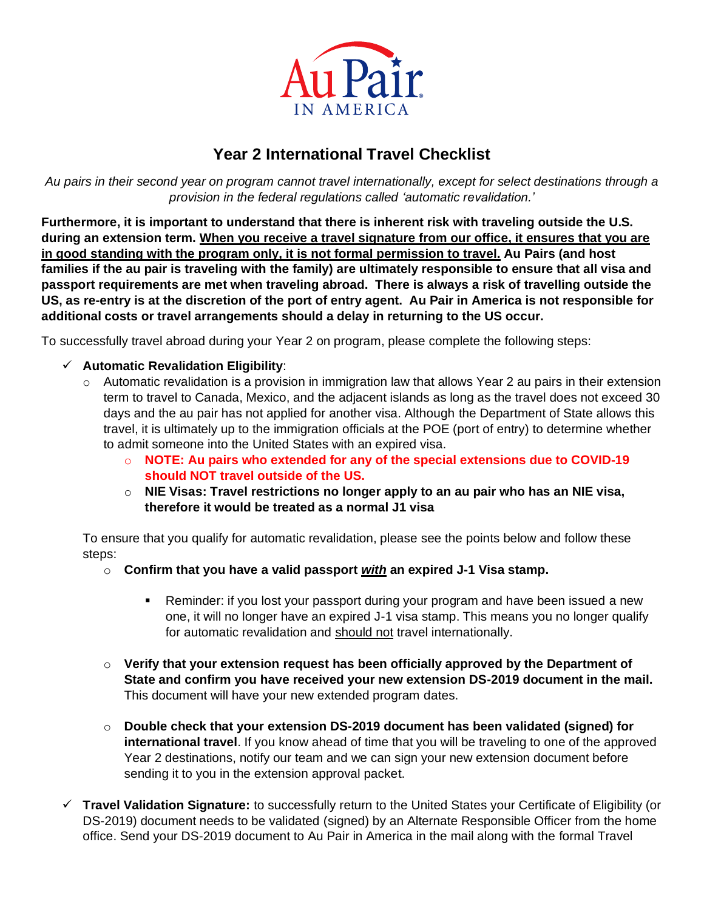

## **Year 2 International Travel Checklist**

*Au pairs in their second year on program cannot travel internationally, except for select destinations through a provision in the federal regulations called 'automatic revalidation.'*

**Furthermore, it is important to understand that there is inherent risk with traveling outside the U.S. during an extension term. When you receive a travel signature from our office, it ensures that you are in good standing with the program only, it is not formal permission to travel. Au Pairs (and host families if the au pair is traveling with the family) are ultimately responsible to ensure that all visa and passport requirements are met when traveling abroad. There is always a risk of travelling outside the US, as re-entry is at the discretion of the port of entry agent. Au Pair in America is not responsible for additional costs or travel arrangements should a delay in returning to the US occur.**

To successfully travel abroad during your Year 2 on program, please complete the following steps:

- ✓ **Automatic Revalidation Eligibility**:
	- $\circ$  Automatic revalidation is a provision in immigration law that allows Year 2 au pairs in their extension term to travel to Canada, Mexico, and the adjacent islands as long as the travel does not exceed 30 days and the au pair has not applied for another visa. Although the Department of State allows this travel, it is ultimately up to the immigration officials at the POE (port of entry) to determine whether to admit someone into the United States with an expired visa.
		- o **NOTE: Au pairs who extended for any of the special extensions due to COVID-19 should NOT travel outside of the US.**
		- o **NIE Visas: Travel restrictions no longer apply to an au pair who has an NIE visa, therefore it would be treated as a normal J1 visa**

To ensure that you qualify for automatic revalidation, please see the points below and follow these steps:

- o **Confirm that you have a valid passport** *with* **an expired J-1 Visa stamp.**
	- **EXE** Reminder: if you lost your passport during your program and have been issued a new one, it will no longer have an expired J-1 visa stamp. This means you no longer qualify for automatic revalidation and should not travel internationally.
- o **Verify that your extension request has been officially approved by the Department of State and confirm you have received your new extension DS-2019 document in the mail.**  This document will have your new extended program dates.
- o **Double check that your extension DS-2019 document has been validated (signed) for international travel**. If you know ahead of time that you will be traveling to one of the approved Year 2 destinations, notify our team and we can sign your new extension document before sending it to you in the extension approval packet.
- ✓ **Travel Validation Signature:** to successfully return to the United States your Certificate of Eligibility (or DS-2019) document needs to be validated (signed) by an Alternate Responsible Officer from the home office. Send your DS-2019 document to Au Pair in America in the mail along with the formal Travel